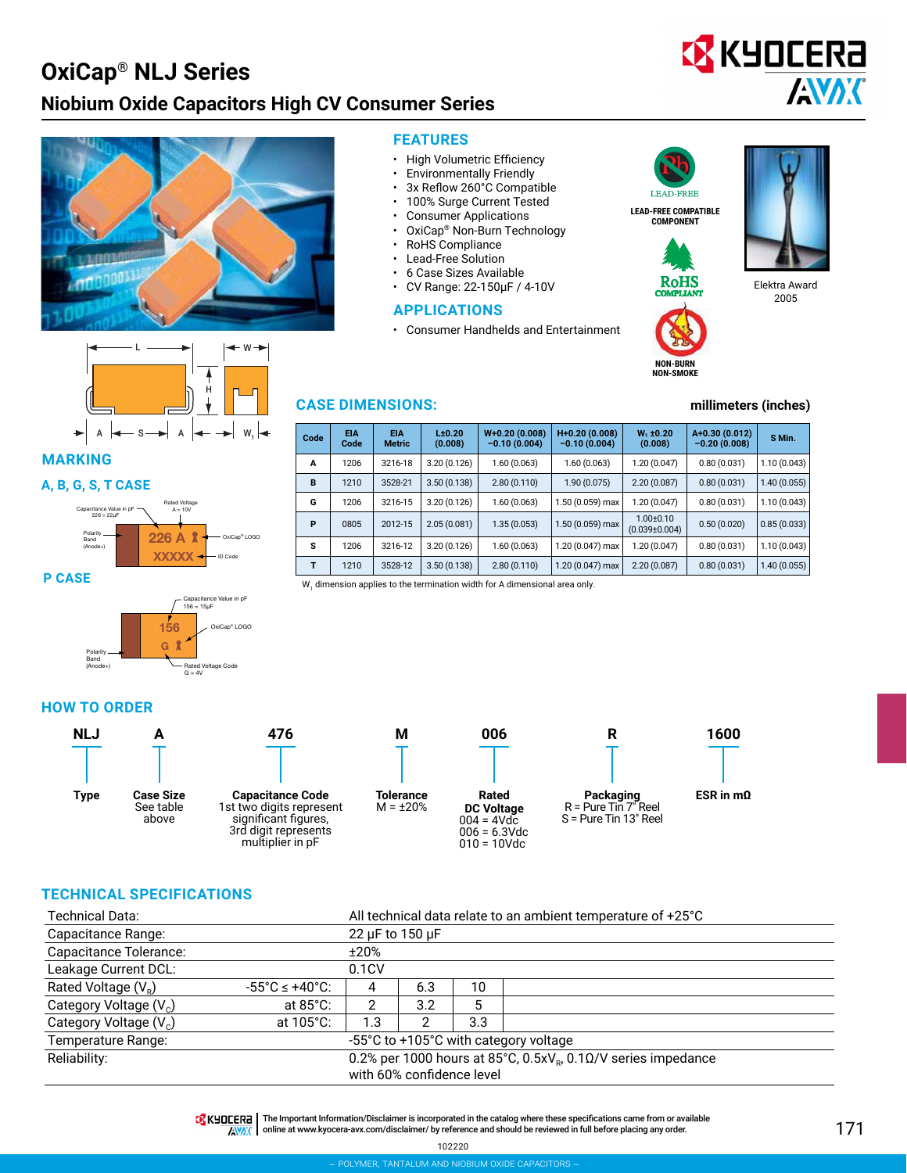## **OxiCap**® **NLJ Series Niobium Oxide Capacitors High CV Consumer Series**



**MARKING**

#### **A, B, G, S, T CASE**







#### **FEATURES**

- High Volumetric Efficiency
- Environmentally Friendly
- 3x Reflow 260°C Compatible
- 100% Surge Current Tested
- Consumer Applications
- OxiCap® Non-Burn Technology
- RoHS Compliance
- Lead-Free Solution
- 6 Case Sizes Available
- CV Range: 22-150μF / 4-10V

#### **APPLICATIONS**

• Consumer Handhelds and Entertainment



**EX KYOCERA** 

**AVAK** 



**NON-BURN NON-SMOKE**



Elektra Award 2005

#### **CASE DIMENSIONS: millimeters (inches)**

| Code | <b>EIA</b><br>Code | <b>EIA</b><br><b>Metric</b> | L±0.20<br>(0.008) | $W+0.20(0.008)$<br>$-0.10(0.004)$ | H+0.20 (0.008)<br>$-0.10(0.004)$ | $W_1 \pm 0.20$<br>(0.008)              | A+0.30 (0.012)<br>$-0.20(0.008)$ | S Min.      |
|------|--------------------|-----------------------------|-------------------|-----------------------------------|----------------------------------|----------------------------------------|----------------------------------|-------------|
| A    | 1206               | 3216-18                     | 3.20(0.126)       | 1.60(0.063)                       | 1.60(0.063)                      | 1.20(0.047)                            | 0.80(0.031)                      | 1.10(0.043) |
| B    | 1210               | 3528-21                     | 3.50(0.138)       | 2.80(0.110)                       | 1.90(0.075)                      | 2.20(0.087)                            | 0.80(0.031)                      | 1.40(0.055) |
| G    | 1206               | 3216-15                     | 3.20(0.126)       | 1.60(0.063)                       | 1.50 (0.059) max                 | 1.20(0.047)                            | 0.80(0.031)                      | 1.10(0.043) |
| P    | 0805               | 2012-15                     | 2.05(0.081)       | 1.35(0.053)                       | 1.50 (0.059) max                 | $1.00 \pm 0.10$<br>$(0.039 \pm 0.004)$ | 0.50(0.020)                      | 0.85(0.033) |
| s    | 1206               | 3216-12                     | 3.20(0.126)       | 1.60(0.063)                       | 1.20 (0.047) max                 | 1.20 (0.047)                           | 0.80(0.031)                      | 1.10(0.043) |
| т    | 1210               | 3528-12                     | 3.50(0.138)       | 2.80(0.110)                       | $1.20(0.047)$ max                | 2.20(0.087)                            | 0.80(0.031)                      | 1.40(0.055) |

W<sub>1</sub> dimension applies to the termination width for A dimensional area only.

#### **HOW TO ORDER**



#### **TECHNICAL SPECIFICATIONS**

| Technical Data:                    | All technical data relate to an ambient temperature of +25°C                                    |       |      |     |                                       |  |  |  |  |
|------------------------------------|-------------------------------------------------------------------------------------------------|-------|------|-----|---------------------------------------|--|--|--|--|
| Capacitance Range:                 | 22 µF to 150 µF                                                                                 |       |      |     |                                       |  |  |  |  |
| Capacitance Tolerance:             |                                                                                                 |       | ±20% |     |                                       |  |  |  |  |
| Leakage Current DCL:               |                                                                                                 | 0.1CV |      |     |                                       |  |  |  |  |
| Rated Voltage $(V_{p})$            | $-55^{\circ}$ C $\leq$ +40°C.                                                                   | 4     | 6.3  | 10  |                                       |  |  |  |  |
| Category Voltage (V <sub>c</sub> ) | at $85^{\circ}$ C:                                                                              | ⌒     | 3.2  | 5   |                                       |  |  |  |  |
| Category Voltage (V <sub>c</sub> ) | at 105°C:                                                                                       | 1.3   |      | 3.3 |                                       |  |  |  |  |
| Temperature Range:                 |                                                                                                 |       |      |     | -55°C to +105°C with category voltage |  |  |  |  |
| Reliability:                       | 0.2% per 1000 hours at 85°C, $0.5xV_B$ , $0.10/V$ series impedance<br>with 60% confidence level |       |      |     |                                       |  |  |  |  |

**TA** KHOCER<sub>E</sub> | The Important Information/Disclaimer is incorporated in the catalog where these specifications came from or available

AVAX online at [www.kyocera-avx.com/disclaimer/](http://www.avx.com/disclaimer/) by reference and should be reviewed in full before placing any order.

102220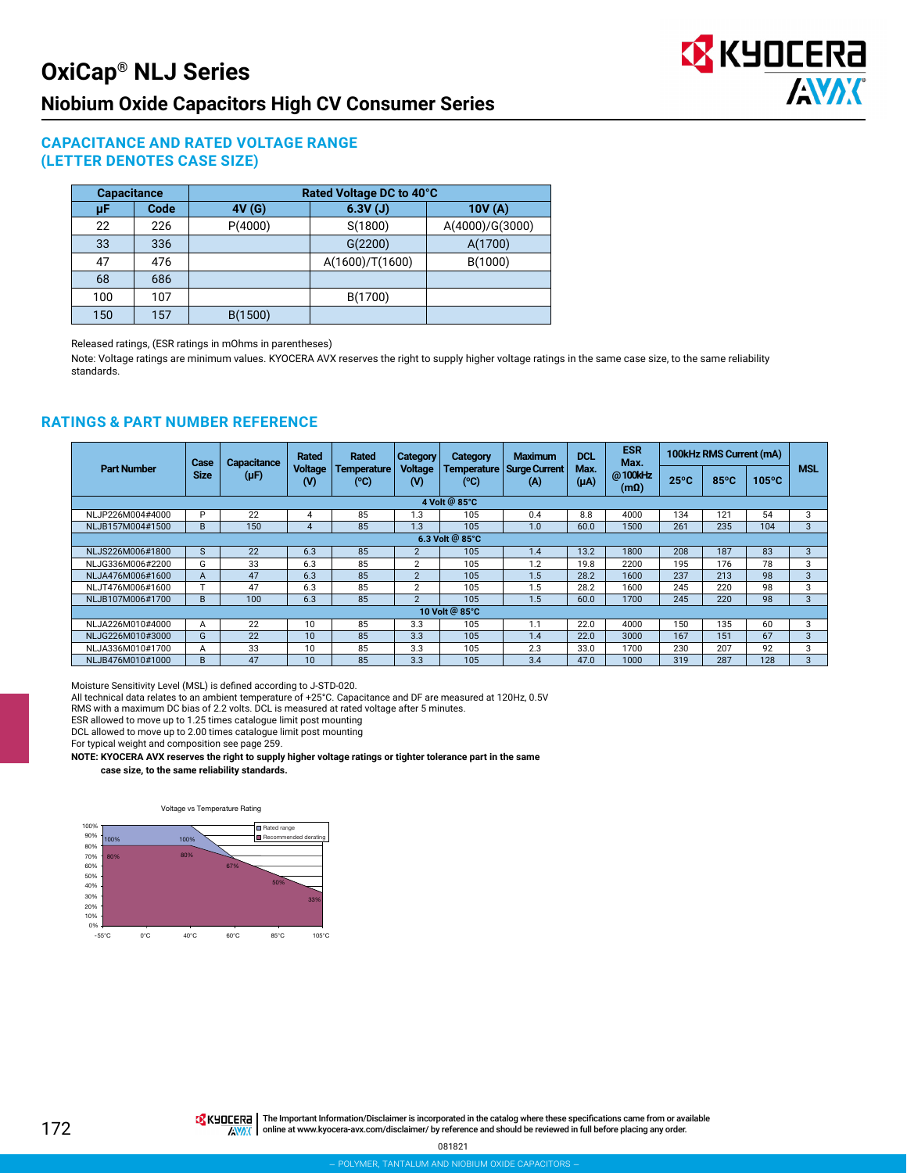

#### **CAPACITANCE AND RATED VOLTAGE RANGE (LETTER DENOTES CASE SIZE)**

| <b>Capacitance</b> |      | Rated Voltage DC to 40°C |                 |                 |  |  |  |  |  |  |
|--------------------|------|--------------------------|-----------------|-----------------|--|--|--|--|--|--|
| μF                 | Code | 4V(G)                    | 6.3V(J)         | 10V(A)          |  |  |  |  |  |  |
| 22                 | 226  | P(4000)                  | S(1800)         | A(4000)/G(3000) |  |  |  |  |  |  |
| 33                 | 336  |                          | G(2200)         | A(1700)         |  |  |  |  |  |  |
| 47                 | 476  |                          | A(1600)/T(1600) | B(1000)         |  |  |  |  |  |  |
| 68                 | 686  |                          |                 |                 |  |  |  |  |  |  |
| 100                | 107  |                          | B(1700)         |                 |  |  |  |  |  |  |
| 157<br>150         |      | B(1500)                  |                 |                 |  |  |  |  |  |  |

Released ratings, (ESR ratings in mOhms in parentheses)

Note: Voltage ratings are minimum values. KYOCERA AVX reserves the right to supply higher voltage ratings in the same case size, to the same reliability standards.

#### **RATINGS & PART NUMBER REFERENCE**

|                    | Case<br><b>Size</b> | Capacitance<br>$(\mu F)$ | <b>Rated</b><br><b>Voltage</b><br>$($ v $)$ | Rated<br>Temperature<br>$(^{\circ}C)$ | Category<br><b>Voltage</b><br>(V) | <b>Category</b><br>Temperature<br>(°C) | <b>Maximum</b><br><b>Surge Current</b><br>(A) | <b>DCL</b><br>Max.<br>$(\mu A)$ | <b>ESR</b><br>Max.<br>@100kHz<br>$(m\Omega)$ | 100kHz RMS Current (mA) |                |                 |              |
|--------------------|---------------------|--------------------------|---------------------------------------------|---------------------------------------|-----------------------------------|----------------------------------------|-----------------------------------------------|---------------------------------|----------------------------------------------|-------------------------|----------------|-----------------|--------------|
| <b>Part Number</b> |                     |                          |                                             |                                       |                                   |                                        |                                               |                                 |                                              | $25^{\circ}$ C          | $85^{\circ}$ C | $105^{\circ}$ C | <b>MSL</b>   |
| 4 Volt @ 85°C      |                     |                          |                                             |                                       |                                   |                                        |                                               |                                 |                                              |                         |                |                 |              |
| NLJP226M004#4000   | P                   | 22                       | 4                                           | 85                                    | 1.3                               | 105                                    | 0.4                                           | 8.8                             | 4000                                         | 134                     | 121            | 54              | 3            |
| NLJB157M004#1500   | B.                  | 150                      | 4                                           | 85                                    | 1.3                               | 105                                    | 1.0                                           | 60.0                            | 1500                                         | 261                     | 235            | 104             | 3            |
| 6.3 Volt @ 85°C    |                     |                          |                                             |                                       |                                   |                                        |                                               |                                 |                                              |                         |                |                 |              |
| NLJS226M006#1800   | S                   | 22                       | 6.3                                         | 85                                    | $\overline{2}$                    | 105                                    | 1.4                                           | 13.2                            | 1800                                         | 208                     | 187            | 83              | 3            |
| NLJG336M006#2200   | G                   | 33                       | 6.3                                         | 85                                    | $\overline{2}$                    | 105                                    | 1.2                                           | 19.8                            | 2200                                         | 195                     | 176            | 78              | 3            |
| NLJA476M006#1600   | A                   | 47                       | 6.3                                         | 85                                    | $\overline{2}$                    | 105                                    | 1.5                                           | 28.2                            | 1600                                         | 237                     | 213            | 98              | 3            |
| NLJT476M006#1600   |                     | 47                       | 6.3                                         | 85                                    | $\mathbf{2}$                      | 105                                    | .5                                            | 28.2                            | 1600                                         | 245                     | 220            | 98              | 3            |
| NLJB107M006#1700   | B.                  | 100                      | 6.3                                         | 85                                    | $\mathcal{P}$                     | 105                                    | 1.5                                           | 60.0                            | 1700                                         | 245                     | 220            | 98              | $\mathbf{3}$ |
| 10 Volt @ 85°C     |                     |                          |                                             |                                       |                                   |                                        |                                               |                                 |                                              |                         |                |                 |              |
| NLJA226M010#4000   | A                   | 22                       | 10                                          | 85                                    | 3.3                               | 105                                    | 1.1                                           | 22.0                            | 4000                                         | 150                     | 135            | 60              | 3            |
| NLJG226M010#3000   | G                   | 22                       | 10                                          | 85                                    | 3.3                               | 105                                    | 1.4                                           | 22.0                            | 3000                                         | 167                     | 151            | 67              | 3            |
| NLJA336M010#1700   | A                   | 33                       | 10                                          | 85                                    | 3.3                               | 105                                    | 2.3                                           | 33.0                            | 1700                                         | 230                     | 207            | 92              | 3            |
| NLJB476M010#1000   | B                   | 47                       | 10                                          | 85                                    | 3.3                               | 105                                    | 3.4                                           | 47.0                            | 1000                                         | 319                     | 287            | 128             | 3            |

Moisture Sensitivity Level (MSL) is defined according to J-STD-020.

All technical data relates to an ambient temperature of +25°C. Capacitance and DF are measured at 120Hz, 0.5V RMS with a maximum DC bias of 2.2 volts. DCL is measured at rated voltage after 5 minutes.

ESR allowed to move up to 1.25 times catalogue limit post mounting

DCL allowed to move up to 2.00 times catalogue limit post mounting

For typical weight and composition see page 259.

**NOTE: KYOCERA AVX reserves the right to supply higher voltage ratings or tighter tolerance part in the same**

**case size, to the same reliability standards.**

#### Voltage vs Temperature Rating

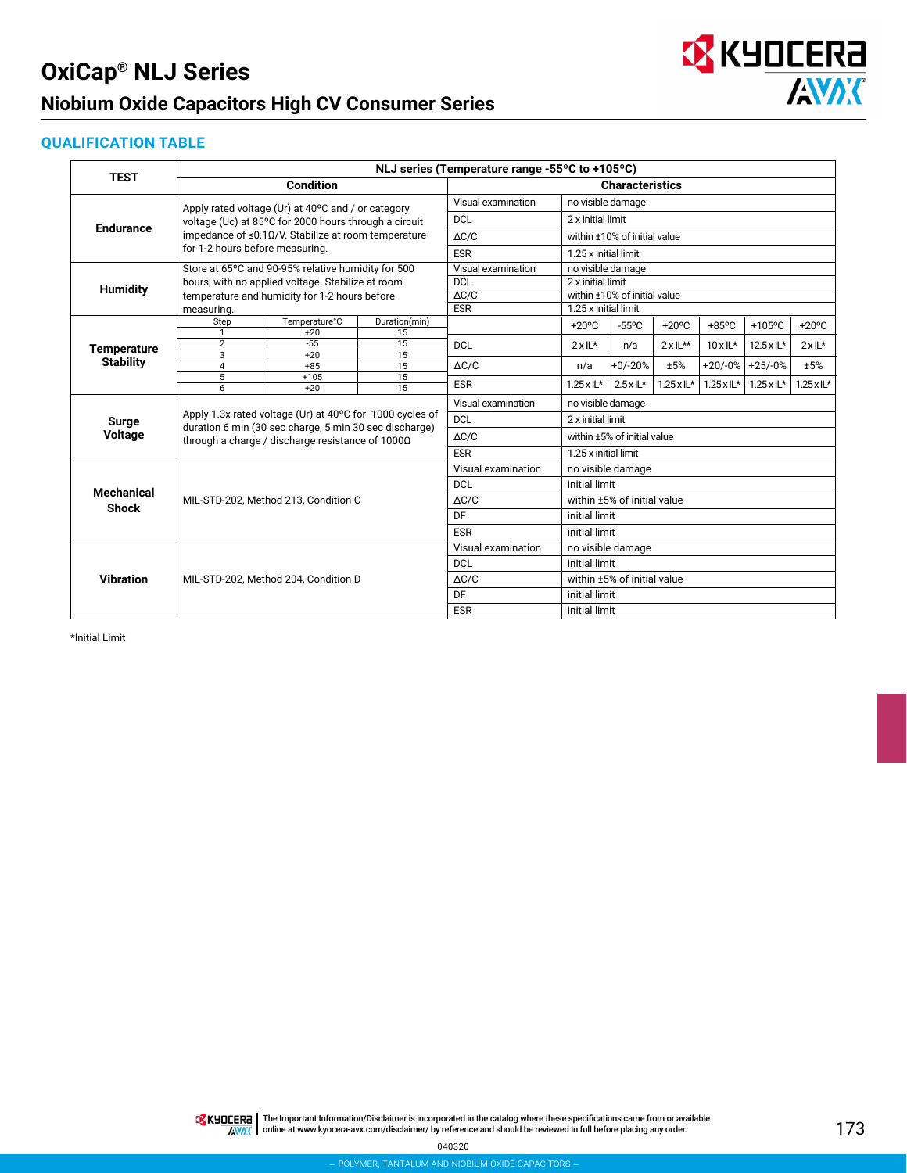## **OxiCap® NLJ Series Niobium Oxide Capacitors High CV Consumer Series**



#### **QUALIFICATION TABLE**

|                                        | NLJ series (Temperature range -55°C to +105°C) |                                                                                                            |                        |                              |                              |                   |                            |                            |                            |                   |  |
|----------------------------------------|------------------------------------------------|------------------------------------------------------------------------------------------------------------|------------------------|------------------------------|------------------------------|-------------------|----------------------------|----------------------------|----------------------------|-------------------|--|
| <b>TEST</b>                            |                                                | <b>Condition</b>                                                                                           | <b>Characteristics</b> |                              |                              |                   |                            |                            |                            |                   |  |
|                                        |                                                | Apply rated voltage (Ur) at 40°C and / or category                                                         | Visual examination     | no visible damage            |                              |                   |                            |                            |                            |                   |  |
|                                        |                                                | voltage (Uc) at 85°C for 2000 hours through a circuit                                                      | <b>DCL</b>             |                              | 2 x initial limit            |                   |                            |                            |                            |                   |  |
| <b>Endurance</b>                       |                                                | impedance of $\leq 0.1 \Omega/V$ . Stabilize at room temperature                                           | $\triangle C/C$        |                              | within ±10% of initial value |                   |                            |                            |                            |                   |  |
|                                        | for 1-2 hours before measuring.                |                                                                                                            | <b>ESR</b>             | 1.25 x initial limit         |                              |                   |                            |                            |                            |                   |  |
|                                        |                                                | Store at 65°C and 90-95% relative humidity for 500                                                         | Visual examination     | no visible damage            |                              |                   |                            |                            |                            |                   |  |
|                                        |                                                | hours, with no applied voltage. Stabilize at room                                                          | <b>DCL</b>             |                              | 2 x initial limit            |                   |                            |                            |                            |                   |  |
| <b>Humidity</b>                        |                                                | temperature and humidity for 1-2 hours before                                                              | $\Delta C/C$           | within ±10% of initial value |                              |                   |                            |                            |                            |                   |  |
|                                        | measuring.                                     |                                                                                                            | <b>ESR</b>             |                              | 1.25 x initial limit         |                   |                            |                            |                            |                   |  |
|                                        | Step                                           | Temperature°C                                                                                              | Duration(min)          |                              | $+20^{\circ}$ C              | $-55^{\circ}$ C   | $+20^{\circ}$ C            | $+85$ °C                   | $+105$ °C                  | $+20^{\circ}$ C   |  |
|                                        | 1<br>$\overline{2}$                            | $+20$<br>$-55$                                                                                             | 15<br>15               | <b>DCL</b>                   | $2x \mathbb{L}^*$            | n/a               | $2x/L**$                   | $10xL^*$                   | $12.5 \times \mathbb{L}^*$ | $2xL^*$           |  |
| <b>Temperature</b><br><b>Stability</b> | 3                                              | $+20$                                                                                                      | 15                     |                              |                              |                   |                            |                            |                            |                   |  |
|                                        | $\overline{4}$                                 | $+85$                                                                                                      | 15                     | $\Delta C/C$                 | n/a                          | $+0/-20%$         | ±5%                        |                            | $+20/-0\%$ +25/-0%         | ±5%               |  |
|                                        | $\overline{5}$<br>6                            | $+105$<br>$+20$                                                                                            | 15<br>15               | <b>ESR</b>                   | $1.25 \times 11*$            | $2.5 \times 11^*$ | $1.25 \times \mathbb{L}^*$ | $1.25 \times \mathbb{L}^*$ | $1.25 \times \mathbb{L}^*$ | $1.25 \times 11*$ |  |
|                                        |                                                |                                                                                                            |                        | Visual examination           |                              | no visible damage |                            |                            |                            |                   |  |
| <b>Surge</b>                           |                                                | Apply 1.3x rated voltage (Ur) at 40°C for 1000 cycles of                                                   | <b>DCL</b>             |                              | 2 x initial limit            |                   |                            |                            |                            |                   |  |
| <b>Voltage</b>                         |                                                | duration 6 min (30 sec charge, 5 min 30 sec discharge)<br>through a charge / discharge resistance of 1000Ω | $\Delta C/C$           |                              | within ±5% of initial value  |                   |                            |                            |                            |                   |  |
|                                        |                                                |                                                                                                            |                        | <b>ESR</b>                   | 1.25 x initial limit         |                   |                            |                            |                            |                   |  |
|                                        |                                                |                                                                                                            | Visual examination     | no visible damage            |                              |                   |                            |                            |                            |                   |  |
| <b>Mechanical</b>                      |                                                |                                                                                                            | DCL                    |                              | initial limit                |                   |                            |                            |                            |                   |  |
| <b>Shock</b>                           |                                                | MIL-STD-202, Method 213, Condition C                                                                       | $\Delta C/C$           | within ±5% of initial value  |                              |                   |                            |                            |                            |                   |  |
|                                        |                                                |                                                                                                            | DF                     |                              | initial limit                |                   |                            |                            |                            |                   |  |
|                                        |                                                |                                                                                                            | <b>ESR</b>             |                              | initial limit                |                   |                            |                            |                            |                   |  |
|                                        |                                                |                                                                                                            |                        | Visual examination           | no visible damage            |                   |                            |                            |                            |                   |  |
|                                        |                                                |                                                                                                            |                        | <b>DCL</b>                   |                              | initial limit     |                            |                            |                            |                   |  |
| <b>Vibration</b>                       |                                                | MIL-STD-202, Method 204, Condition D                                                                       |                        | $\Delta C/C$                 | within ±5% of initial value  |                   |                            |                            |                            |                   |  |
|                                        |                                                |                                                                                                            | DF                     | initial limit                |                              |                   |                            |                            |                            |                   |  |
|                                        |                                                |                                                                                                            | <b>ESR</b>             | initial limit                |                              |                   |                            |                            |                            |                   |  |

\*Initial Limit

The Important Information/Disclaimer is incorporated in the catalog where these specifications came from or available<br>online at [www.kyocera-avx.com/disclaimer/](http://www.avx.com/disclaimer/) by reference and should be reviewed in full before placing any

040320